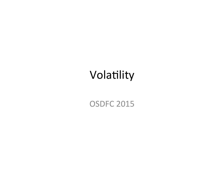## Volatility

#### **OSDFC 2015**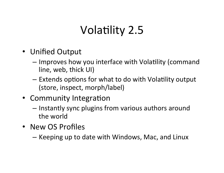## Volatility 2.5

- Unified Output
	- $-$  Improves how you interface with Volatility (command line, web, thick UI)
	- $-$  Extends options for what to do with Volatility output (store, inspect, morph/label)
- Community Integration
	- $-$  Instantly sync plugins from various authors around the world
- New OS Profiles
	- $-$  Keeping up to date with Windows, Mac, and Linux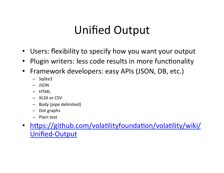## Unified Output

- Users: flexibility to specify how you want your output
- Plugin writers: less code results in more functionality
- Framework developers: easy APIs (JSON, DB, etc.)
	- Sqlite3
	- JSON
	- HTML
	- XLSX or CSV
	- Body (pipe delimited)
	- $-$  Dot graphs
	- $-$  Plain text
- https://github.com/volatilityfoundation/volatility/wiki/ Unified-Output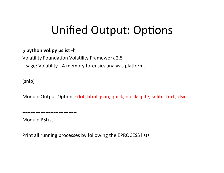## Unified Output: Options

#### \$ python vol.py pslist -h

Volatility Foundation Volatility Framework 2.5 Usage: Volatility - A memory forensics analysis platform.

[snip] 

Module Output Options: dot, html, json, quick, quicksqlite, sqlite, text, xlsx

--------------------------------- 

Module PSList

--------------------------------- 

Print all running processes by following the EPROCESS lists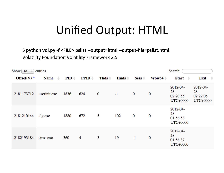## Unified Output: HTML

\$ python vol.py -f <FILE> pslist --output=html --output-file=pslist.html **Volatility Foundation Volatility Framework 2.5** 

| Search:<br>Show $10 \div$ entries |                   |                  |                   |                  |                               |          |                    |                                        |                                        |  |
|-----------------------------------|-------------------|------------------|-------------------|------------------|-------------------------------|----------|--------------------|----------------------------------------|----------------------------------------|--|
| Offset(V) $\triangle$             | Name $\triangleq$ | $PID \triangleq$ | $PPID \triangleq$ | Thds $\doteqdot$ | $\mathbf{H}$ nds $\triangleq$ | Sess     | Wow64 $\triangleq$ | Start<br>$\Rightarrow$                 | Exit<br>$\rightarrow$                  |  |
| 2181173712                        | userinit.exe      | 1836             | 624               | $\bf{0}$         | $-1$                          | $\bf{0}$ | $\bf{0}$           | 2012-04-<br>28<br>02:20:55<br>UTC+0000 | 2012-04-<br>28<br>02:22:05<br>UTC+0000 |  |
| 2181210144                        | alg.exe           | 1880             | 672               | 5                | 102                           | $\bf{0}$ | 0                  | 2012-04-<br>28<br>01:56:53<br>UTC+0000 |                                        |  |
| 2182193184                        | smss.exe          | 360              | 4                 | 3                | 19                            | $-1$     | $\bf{0}$           | 2012-04-<br>28<br>01:56:37<br>UTC+0000 |                                        |  |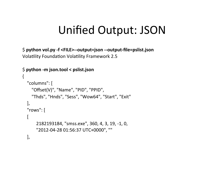## Unified Output: JSON

\$ python vol.py -f <FILE>--output=json --output-file=pslist.json Volatility Foundation Volatility Framework 2.5

```
$ python -m json.tool < pslist.json
{	
  				"columns":	[	
     "Offset(V)", "Name", "PID", "PPID",
     "Thds", "Hnds", "Sess", "Wow64", "Start", "Exit"
  				],									
  				"rows":	[	
  \lceil2182193184, "smss.exe", 360, 4, 3, 19, -1, 0,
        												"2012-04-28	01:56:37	UTC+0000",	""	
  				],
```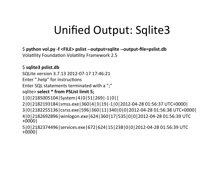## Unified Output: Sqlite3

\$ python vol.py -f <FILE> pslist --output=sqlite --output-file=pslist.db Volatility Foundation Volatility Framework 2.5

#### \$ **sqlite3 pslist.db**

SQLite version 3.7.13 2012-07-17 17:46:21

Enter ".help" for instructions

Enter SQL statements terminated with a ";"

#### sqlite> select \* from PSList limit 5;

1|0|2185005104|System|4|0|51|269|-1|0|| 

2|0|2182193184|smss.exe|360|4|3|19|-1|0|2012-04-28 01:56:37 UTC+0000| 

3|0|2182255136|csrss.exe|596|360|11|340|0|0|2012-04-28 01:56:38 UTC+0000| 

4|0|2182692896|winlogon.exe|624|360|17|535|0|0|2012-04-28 01:56:39 UTC +0000| 

5|0|2182374496|services.exe|672|624|15|238|0|0|2012-04-28 01:56:39 UTC +0000|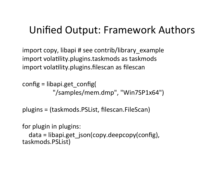### Unified Output: Framework Authors

import copy, libapi # see contrib/library example import volatility.plugins.taskmods as taskmods import volatility.plugins.filescan as filescan

config =  $libapi.get$  config( "/samples/mem.dmp", "Win7SP1x64")

plugins = (taskmods.PSList, filescan.FileScan) 

for plugin in plugins:

```
data = libapi.get json(copy.deepcopy(config),
taskmods.PSList)
```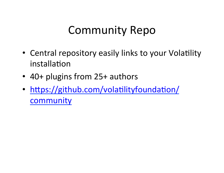## Community Repo

- Central repository easily links to your Volatility installation
- 40+ plugins from 25+ authors
- https://github.com/volatilityfoundation/ community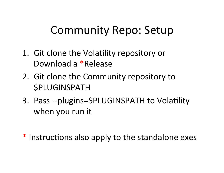## Community Repo: Setup

- 1. Git clone the Volatility repository or Download a \*Release
- 2. Git clone the Community repository to *SPLUGINSPATH*
- 3. Pass --plugins=\$PLUGINSPATH to Volatility when you run it

\* Instructions also apply to the standalone exes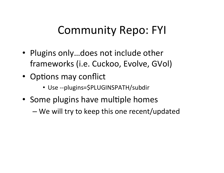## Community Repo: FYI

- Plugins only...does not include other frameworks (i.e. Cuckoo, Evolve, GVol)
- Options may conflict
	- Use --plugins=\$PLUGINSPATH/subdir
- Some plugins have multiple homes
	- We will try to keep this one recent/updated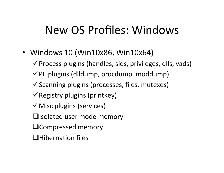## New OS Profiles: Windows

- Windows 10 (Win10x86, Win10x64)
	- $\checkmark$  Process plugins (handles, sids, privileges, dlls, vads)
	- $\checkmark$  PE plugins (dlldump, procdump, moddump)
	- $\checkmark$  Scanning plugins (processes, files, mutexes)
	- $\checkmark$  Registry plugins (printkey)
	- $\checkmark$  Misc plugins (services)
	- $\Box$ Isolated user mode memory
	- **QCompressed memory**
	- $\Box$ Hibernation files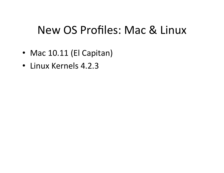## New OS Profiles: Mac & Linux

- Mac 10.11 (El Capitan)
- Linux Kernels 4.2.3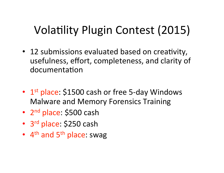## Volatility Plugin Contest (2015)

- 12 submissions evaluated based on creativity, usefulness, effort, completeness, and clarity of documentation
- $1<sup>st</sup>$  place: \$1500 cash or free 5-day Windows Malware and Memory Forensics Training
- 2<sup>nd</sup> place: \$500 cash
- 3<sup>rd</sup> place: \$250 cash
- $4<sup>th</sup>$  and  $5<sup>th</sup>$  place: swag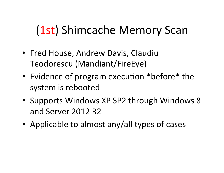# (1st) Shimcache Memory Scan

- Fred House, Andrew Davis, Claudiu Teodorescu (Mandiant/FireEye)
- Evidence of program execution \*before\* the system is rebooted
- Supports Windows XP SP2 through Windows 8 and Server 2012 R2
- Applicable to almost any/all types of cases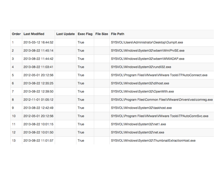| Order | <b>Last Modified</b> | Last Update Exec Flag File Size File Path |      |                                                                 |
|-------|----------------------|-------------------------------------------|------|-----------------------------------------------------------------|
| 1     | 2015-03-12 16:44:52  |                                           | True | SYSVOL\Users\Administrator\Desktop\Dumplt.exe                   |
| 2     | 2013-08-22 11:45:14  |                                           | True | SYSVOL\Windows\System32\wbem\WmiPrvSE.exe                       |
| 3     | 2013-08-22 11:44:42  |                                           | True | SYSVOL\Windows\System32\wbem\WMIADAP.exe                        |
| 4     | 2013-08-22 11:03:41  |                                           | True | SYSVOL\Windows\System32\rundll32.exe                            |
| 5     | 2012-05-01 20:12:56  |                                           | True | SYSVOL\Program Files\VMware\VMware Tools\TPAutoConnect.exe      |
| 6     | 2013-08-22 12:35:25  |                                           | True | SYSVOL\Windows\System32\dllhost.exe                             |
| 7     | 2013-08-22 12:39:50  |                                           | True | SYSVOL\Windows\System32\OpenWith.exe                            |
| 8     | 2012-11-01 01:05:12  |                                           | True | SYSVOL\Program Files\Common Files\VMware\Drivers\vss\comreg.exe |
| 9     | 2013-08-22 12:42:49  |                                           | True | SYSVOL\Windows\System32\taskhost.exe                            |
| 10    | 2012-05-01 20:12:56  |                                           | True | SYSVOL\Program Files\VMware\VMware Tools\TPAutoConnSvc.exe      |
| 11    | 2013-08-22 10:01:15  |                                           | True | SYSVOL\Windows\System32\net1.exe                                |
| 12    | 2013-08-22 10:01:50  |                                           | True | SYSVOL\Windows\System32\net.exe                                 |
| 13    | 2013-08-22 11:01:57  |                                           | True | SYSVOL\Windows\System32\ThumbnailExtractionHost.exe             |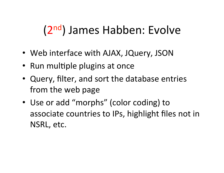# (2<sup>nd</sup>) James Habben: Evolve

- Web interface with AJAX, JQuery, JSON
- Run multiple plugins at once
- Query, filter, and sort the database entries from the web page
- Use or add "morphs" (color coding) to associate countries to IPs, highlight files not in NSRL, etc.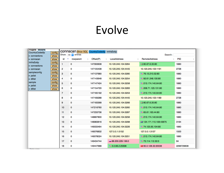### Evolve

| <b>Plugins Morphs</b><br><b>CountryCodedIp</b><br>• connections | config         |    |   | CONNSCAN Show SQL CountryCodedIp IntVsExtIp<br>Show 100 c entries |           |                     | Search:                 |            |
|-----------------------------------------------------------------|----------------|----|---|-------------------------------------------------------------------|-----------|---------------------|-------------------------|------------|
| • connscan                                                      | show<br>show   | id | ۸ | rowparent                                                         | Offset(P) | LocalAddress        | <b>RemoteAddress</b>    | PID        |
| <b>IntVsExtIp</b><br>• connections                              | config<br>show | 1  |   | 0                                                                 | 147093608 | 10.120.245.104:3264 | 12 80.67.6.35:80        | 1880       |
| • connscan                                                      | show           | 2  |   | 0                                                                 | 147105408 | 10.120.245.104:4445 | 10.120.245.103:1191     | 2728       |
| sampleconfig<br>• pslist                                        | config<br>show | 3  |   | 0                                                                 | 147137680 | 10.120.245.104:3280 | 76.13.210.52:80         | 1880       |
| · dillist                                                       | show           | 4  |   | 0                                                                 | 147143648 | 10.120.245.104:3254 | 92.61.248.130:80        | 1880       |
| sample                                                          | config         | 5  |   | 0                                                                 | 147147424 | 10.120.245.104:3258 | 213.174.140.64:80       | 1880       |
| • pslist<br>· dillist                                           | show<br>show   | 6  |   | 0                                                                 | 147154720 | 10.120.245.104:3283 | 208.71.123.131:80       | 1880       |
|                                                                 |                | 7  |   | 0                                                                 | 147165192 | 10.120.245.104:3253 | ■ 213.174.140.64:80     | 1880       |
|                                                                 |                | 8  |   | 0                                                                 | 147169288 | 10.120.245.104:4445 | 10.120.245.103:1189     | 2728       |
|                                                                 |                | 9  |   | 0                                                                 | 147183368 | 10.120.245.104:3266 | ■ 80.67.6.35:80         | 1880       |
|                                                                 |                | 10 |   | $\mathbf 0$                                                       | 147216760 | 10.120.245.104:3260 | ■ 213.174.140.64:80     | 1880       |
|                                                                 |                | 11 |   | 0                                                                 | 147233736 | 10.120.245.104:3287 | ■ 65.61.163.44:80       | 1880       |
|                                                                 |                | 12 |   | 0                                                                 | 148897800 | 10.120.245.104:3256 | ■ 213.174.140.64:80     | 1880       |
|                                                                 |                | 13 |   | 0                                                                 | 148983816 | 10.120.245.104:3298 | 图 124.171.110.108:43675 | 3164       |
|                                                                 |                | 14 |   | 0                                                                 | 149033464 | 10.120.245.104:3226 | ■ 74.125.65.104:80      | 1880       |
|                                                                 |                | 15 |   | 0                                                                 | 149076832 | 127.0.0.1:5152      | 127.0.0.1:3137          | 1500       |
|                                                                 |                | 16 |   | 0                                                                 | 149078024 | 10.120.245.104:3251 | 213.174.140.64:80       | 1880       |
|                                                                 |                | 17 |   | 0                                                                 | 149434744 | $-88.200.229.136:0$ | ■ 73.114.112.32:0       | 64         |
|                                                                 |                | 18 |   | 0                                                                 | 149447688 | 3.0.68.2:25698      | ■ 60.0.128.32:20036     | 2296729608 |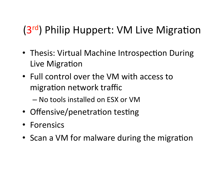## (3rd) Philip Huppert: VM Live Migration

- Thesis: Virtual Machine Introspection During Live Migration
- Full control over the VM with access to migration network traffic
	- No tools installed on ESX or VM
- Offensive/penetration testing
- Forensics
- Scan a VM for malware during the migration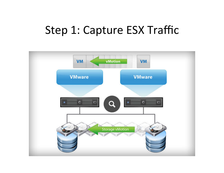### Step 1: Capture ESX Traffic

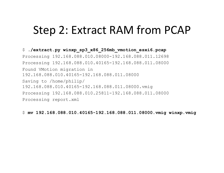### Step 2: Extract RAM from PCAP

\$ **./extract.py winxp\_sp3\_x86\_256mb\_vmotion\_esxi6.pcap**  Processing 192.168.088.010.08000-192.168.088.011.12698 Processing 192.168.088.010.40165-192.168.088.011.08000 Found VMotion migration in 192.168.088.010.40165-192.168.088.011.08000 Saving to /home/philip/ 192.168.088.010.40165-192.168.088.011.08000.vmig Processing 192.168.088.010.25811-192.168.088.011.08000 Processing report.xml

\$ **mv 192.168.088.010.40165-192.168.088.011.08000.vmig winxp.vmig**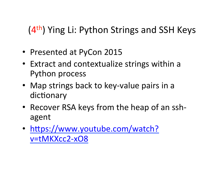#### $(4<sup>th</sup>)$  Ying Li: Python Strings and SSH Keys

- Presented at PyCon 2015
- Extract and contextualize strings within a Python process
- Map strings back to key-value pairs in a dictionary
- Recover RSA keys from the heap of an sshagent
- https://www.youtube.com/watch? v=tMKXcc2-xO8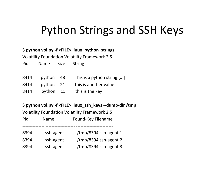## Python Strings and SSH Keys

#### \$ python vol.py -f <FILE>  $\lim_{x\to a}$  python\_strings

Volatility Foundation Volatility Framework 2.5

| Pid  | Name      | Size | String                     |
|------|-----------|------|----------------------------|
| 8414 | python    | - 48 | This is a python string [] |
| 8414 | python 21 |      | this is another value      |
| 8414 | python    | 15   | this is the key            |

#### \$ python vol.py -f <FILE> linux\_ssh\_keys --dump-dir /tmp

Volatility Foundation Volatility Framework 2.5

| Pid  | <b>Name</b> | Found-Key Filename    |
|------|-------------|-----------------------|
| 8394 | ssh-agent   | /tmp/8394.ssh-agent.1 |
| 8394 | ssh-agent   | /tmp/8394.ssh-agent.2 |
| 8394 | ssh-agent   | /tmp/8394.ssh-agent.3 |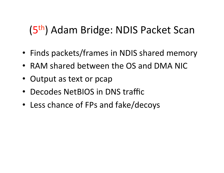## (5<sup>th</sup>) Adam Bridge: NDIS Packet Scan

- Finds packets/frames in NDIS shared memory
- RAM shared between the OS and DMA NIC
- Output as text or pcap
- Decodes NetBIOS in DNS traffic
- Less chance of FPs and fake/decoys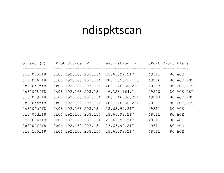## ndispktscan

| Offset (V) | Prot Source IP       | Destination IP |       | SPort DPort Flags |
|------------|----------------------|----------------|-------|-------------------|
|            |                      |                |       |                   |
| 0x870f5ff8 | 0x06 192.168.203.134 | 23.63.99.217   | 49311 | 80 ACK            |
| 0x870f6ff8 | 0x06 192.168.203.134 | 205.185.216.10 | 49286 | 80 ACK, RST       |
| 0x870f7ff8 | 0x06 192.168.203.134 | 208.146.36.220 | 49283 | 80 ACK, RST       |
| 0x870f8ff8 | 0x06 192.168.203.134 | 46.228.164.11  | 49278 | 80 ACK, RST       |
| 0x870f9ff8 | 0x06 192.168.203.134 | 208.146.36.221 | 49263 | 80 ACK, RST       |
| 0x870faff8 | 0x06 192.168.203.134 | 208.146.36.221 | 49271 | 80 ACK, RST       |
| 0x870fcff8 | 0x06 192.168.203.134 | 23.63.99.217   | 49311 | 80 ACK            |
| 0x870fdff8 | 0x06 192.168.203.134 | 23.63.99.217   | 49311 | 80 ACK            |
| 0x870feff8 | 0x06 192.168.203.134 | 23.63.99.217   | 49311 | 80 ACK            |
| 0x870ffff8 | 0x06 192.168.203.134 | 23.63.99.217   | 49311 | 80 ACK            |
| 0x87100ff8 | 0x06 192.168.203.134 | 23.63.99.217   | 49311 | 80 ACK            |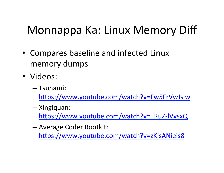## Monnappa Ka: Linux Memory Diff

- Compares baseline and infected Linux memory dumps
- · Videos:
	- Tsunami:

https://www.youtube.com/watch?v=Fw5FrVwJslw

- Xingiquan:

https://www.youtube.com/watch?v= RuZ-IVysxQ

- Average Coder Rootkit: https://www.youtube.com/watch?v=zKjsANieis8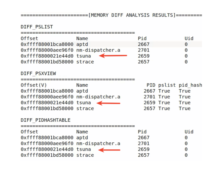#### DIFF\_PSLIST

| <b>Offset</b>                      | Name | Pid  |                | Uid                   |
|------------------------------------|------|------|----------------|-----------------------|
| 0xffff88001bca8000 aptd            |      | 2667 |                | $\Theta$              |
| 0xffff88000aee96f0 nm-dispatcher.a |      | 2701 |                | $\Theta$              |
| 0xffff8800021e44d0 tsuna           |      | 2659 |                | 0                     |
| 0xffff88001bd58000 strace          |      | 2657 |                | 0                     |
| DIFF PSXVIEW                       |      |      |                |                       |
| Offset(V)                          | Name |      |                | PID pslist pid hash   |
| 0xffff88001bca8000 aptd            |      |      | 2667 True      | True                  |
| 0xffff88000aee96f0 nm-dispatcher.a |      |      | 2701 True True |                       |
| $0 \times f$ fff6800021e44d0 tsuna |      |      | 2659 True True |                       |
| 0xffff88001bd58000 strace          |      |      | 2657 True      | True                  |
| DIFF PIDHASHTABLE                  |      |      |                |                       |
| Offset                             | Name | Pid  |                | Uid                   |
| 0xffff88001bca8000 aptd            |      | 2667 |                | $\Theta$              |
| 0xffff88000aee96f0 nm-dispatcher.a |      | 2701 |                | $\boldsymbol{\Theta}$ |
| 0xffff8800021e44d0 tsuna           |      | 2659 |                | 0                     |
| 0xffff88001bd58000 strace          |      | 2657 |                | 0                     |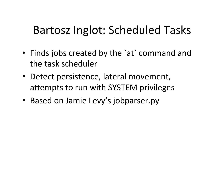## Bartosz Inglot: Scheduled Tasks

- Finds jobs created by the `at` command and the task scheduler
- Detect persistence, lateral movement, attempts to run with SYSTEM privileges
- Based on Jamie Levy's jobparser.py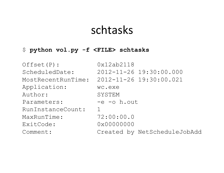### schtasks

#### \$ **python vol.py -f <FILE> schtasks**

| Offset (P) :       | 0x12ab2118                   |
|--------------------|------------------------------|
| ScheduledDate:     | 2012-11-26 19:30:00.000      |
| MostRecentRunTime: | 2012-11-26 19:30:00.021      |
| Application:       | wc.exe                       |
| Author:            | SYSTEM                       |
| Parameters:        | $-e$ $-e$ $h.$ out           |
| RunInstanceCount:  |                              |
| MaxRunTime:        | 72:00:00.0                   |
| ExitCode:          | 0x00000000                   |
| Comment:           | Created by NetScheduleJobAdd |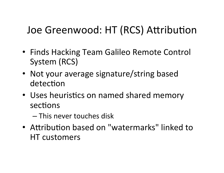### Joe Greenwood: HT (RCS) Attribution

- Finds Hacking Team Galileo Remote Control System (RCS)
- Not your average signature/string based detection
- Uses heuristics on named shared memory sections
	- $-$  This never touches disk
- Attribution based on "watermarks" linked to HT customers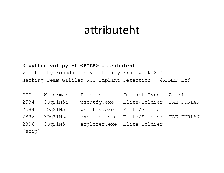### attributeht

#### \$ python vol.py -f <FILE> attributeht

Volatility Foundation Volatility Framework 2.4 Hacking Team Galileo RCS Implant Detection - 4ARMED Ltd

| PID                                | Watermark | Process      | Implant Type  | Attrib     |
|------------------------------------|-----------|--------------|---------------|------------|
| 2584                               | 30qZ1N5a  | wscntfy.exe  | Elite/Soldier | FAE-FURLAN |
| 2584                               | 30qZ1N5   | wscntfy.exe  | Elite/Soldier |            |
| 2896                               | 30qZ1N5a  | explorer.exe | Elite/Soldier | FAE-FURLAN |
| 2896                               | 30qZ1N5   | explorer.exe | Elite/Soldier |            |
| $\Gamma$ and $\Gamma$ and $\Gamma$ |           |              |               |            |

[snip]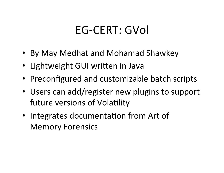## EG-CERT: GVol

- By May Medhat and Mohamad Shawkey
- Lightweight GUI written in Java
- Preconfigured and customizable batch scripts
- Users can add/register new plugins to support future versions of Volatility
- Integrates documentation from Art of **Memory Forensics**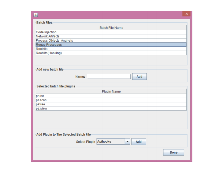|                                           | ×    |
|-------------------------------------------|------|
| <b>Batch Files</b>                        |      |
| <b>Batch File Name</b>                    |      |
| Code Injection                            |      |
| Network Artifacts                         |      |
| Process Objects Analysis                  |      |
| Rogue Processes                           |      |
| <b>Rootkits</b>                           |      |
| Rootkits (Hooking)                        |      |
|                                           |      |
|                                           |      |
| Add new batch file                        |      |
|                                           |      |
| Name:<br>Add                              |      |
|                                           |      |
| Selected batch file plugins               |      |
| <b>Plugin Name</b>                        |      |
| pslist                                    |      |
| psscan                                    |      |
| pstree                                    |      |
| psxview                                   |      |
|                                           |      |
|                                           |      |
|                                           |      |
|                                           |      |
|                                           |      |
| Add Plugin to The Selected Batch File     |      |
| <b>Select Plugin Apihooks</b><br>Add<br>▼ |      |
|                                           | Done |
|                                           |      |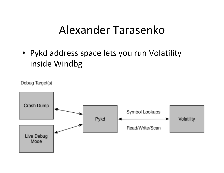## Alexander Tarasenko

• Pykd address space lets you run Volatility inside Windbg

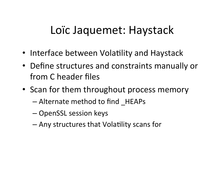## Loïc Jaquemet: Haystack

- Interface between Volatility and Haystack
- Define structures and constraints manually or from C header files
- Scan for them throughout process memory
	- $-$  Alternate method to find HEAPs
	- OpenSSL session keys
	- $-$  Any structures that Volatility scans for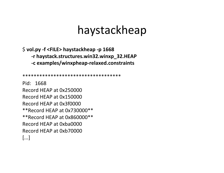### haystackheap

\$ vol.py -f <FILE> haystackheap -p 1668 -r haystack.structures.win32.winxp\_32.HEAP -c examples/winxpheap-relaxed.constraints

\*\*\*\*\*\*\*\*\*\*\*\*\*\*\*\*\*\*\*\*\*\*\*\*\*\*\*\*\*\*\*\*\*\*\*\*

Pid: 1668 Record HEAP at 0x250000 Record HEAP at 0x150000 Record HEAP at 0x3f0000 \*\* Record HEAP at 0x730000\*\* \*\* Record HEAP at  $0x860000$ \*\* Record HEAP at 0xba0000 Record HEAP at 0xb70000  $[...]$